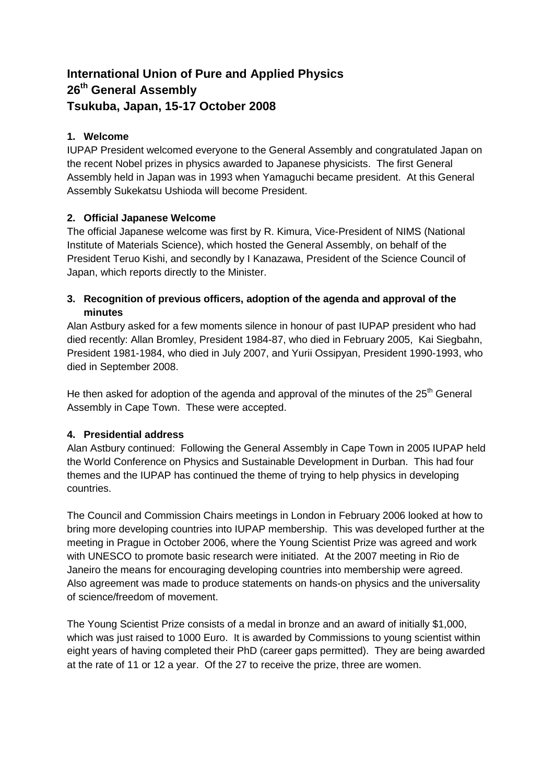# **International Union of Pure and Applied Physics 26th General Assembly Tsukuba, Japan, 15-17 October 2008**

# **1. Welcome**

IUPAP President welcomed everyone to the General Assembly and congratulated Japan on the recent Nobel prizes in physics awarded to Japanese physicists. The first General Assembly held in Japan was in 1993 when Yamaguchi became president. At this General Assembly Sukekatsu Ushioda will become President.

# **2. Official Japanese Welcome**

The official Japanese welcome was first by R. Kimura, Vice-President of NIMS (National Institute of Materials Science), which hosted the General Assembly, on behalf of the President Teruo Kishi, and secondly by I Kanazawa, President of the Science Council of Japan, which reports directly to the Minister.

# **3. Recognition of previous officers, adoption of the agenda and approval of the minutes**

Alan Astbury asked for a few moments silence in honour of past IUPAP president who had died recently: Allan Bromley, President 1984-87, who died in February 2005, Kai Siegbahn, President 1981-1984, who died in July 2007, and Yurii Ossipyan, President 1990-1993, who died in September 2008.

He then asked for adoption of the agenda and approval of the minutes of the  $25<sup>th</sup>$  General Assembly in Cape Town. These were accepted.

# **4. Presidential address**

Alan Astbury continued: Following the General Assembly in Cape Town in 2005 IUPAP held the World Conference on Physics and Sustainable Development in Durban. This had four themes and the IUPAP has continued the theme of trying to help physics in developing countries.

The Council and Commission Chairs meetings in London in February 2006 looked at how to bring more developing countries into IUPAP membership. This was developed further at the meeting in Prague in October 2006, where the Young Scientist Prize was agreed and work with UNESCO to promote basic research were initiated. At the 2007 meeting in Rio de Janeiro the means for encouraging developing countries into membership were agreed. Also agreement was made to produce statements on hands-on physics and the universality of science/freedom of movement.

The Young Scientist Prize consists of a medal in bronze and an award of initially \$1,000, which was just raised to 1000 Euro. It is awarded by Commissions to young scientist within eight years of having completed their PhD (career gaps permitted). They are being awarded at the rate of 11 or 12 a year. Of the 27 to receive the prize, three are women.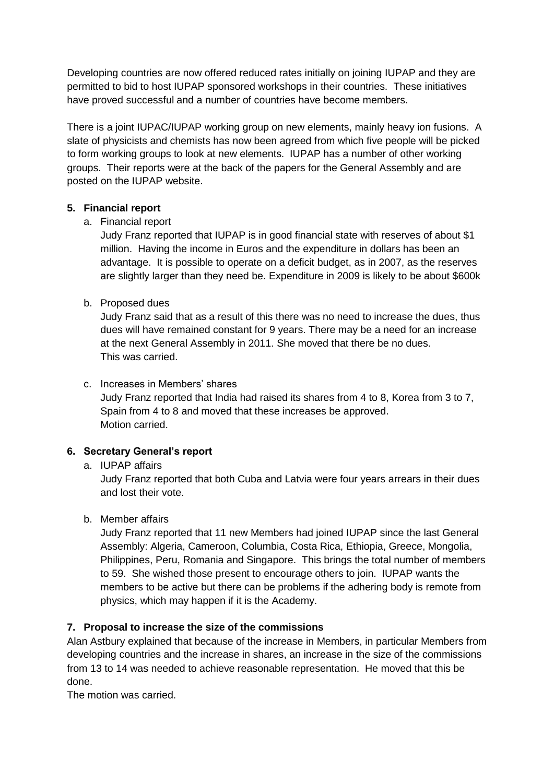Developing countries are now offered reduced rates initially on joining IUPAP and they are permitted to bid to host IUPAP sponsored workshops in their countries. These initiatives have proved successful and a number of countries have become members.

There is a joint IUPAC/IUPAP working group on new elements, mainly heavy ion fusions. A slate of physicists and chemists has now been agreed from which five people will be picked to form working groups to look at new elements. IUPAP has a number of other working groups. Their reports were at the back of the papers for the General Assembly and are posted on the IUPAP website.

# **5. Financial report**

a. Financial report

Judy Franz reported that IUPAP is in good financial state with reserves of about \$1 million. Having the income in Euros and the expenditure in dollars has been an advantage. It is possible to operate on a deficit budget, as in 2007, as the reserves are slightly larger than they need be. Expenditure in 2009 is likely to be about \$600k

# b. Proposed dues

Judy Franz said that as a result of this there was no need to increase the dues, thus dues will have remained constant for 9 years. There may be a need for an increase at the next General Assembly in 2011. She moved that there be no dues. This was carried.

#### c. Increases in Members' shares

Judy Franz reported that India had raised its shares from 4 to 8, Korea from 3 to 7, Spain from 4 to 8 and moved that these increases be approved. Motion carried.

# **6. Secretary General's report**

a. IUPAP affairs

Judy Franz reported that both Cuba and Latvia were four years arrears in their dues and lost their vote.

b. Member affairs

Judy Franz reported that 11 new Members had joined IUPAP since the last General Assembly: Algeria, Cameroon, Columbia, Costa Rica, Ethiopia, Greece, Mongolia, Philippines, Peru, Romania and Singapore. This brings the total number of members to 59. She wished those present to encourage others to join. IUPAP wants the members to be active but there can be problems if the adhering body is remote from physics, which may happen if it is the Academy.

# **7. Proposal to increase the size of the commissions**

Alan Astbury explained that because of the increase in Members, in particular Members from developing countries and the increase in shares, an increase in the size of the commissions from 13 to 14 was needed to achieve reasonable representation. He moved that this be done.

The motion was carried.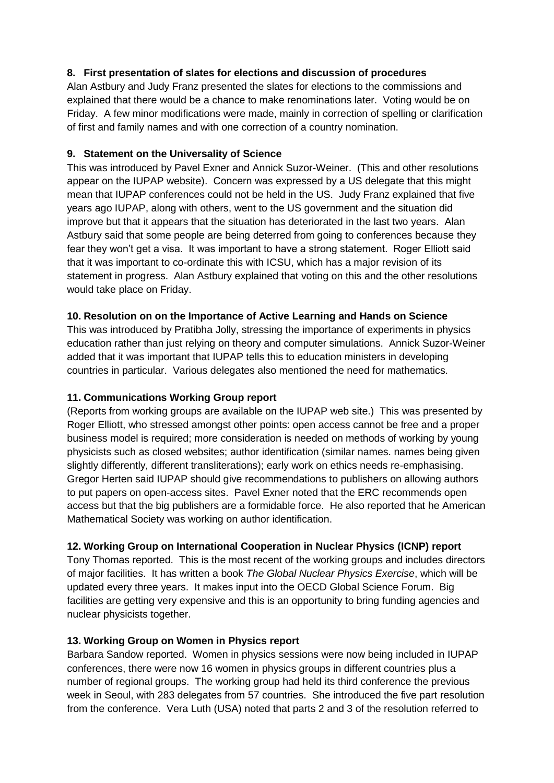### **8. First presentation of slates for elections and discussion of procedures**

Alan Astbury and Judy Franz presented the slates for elections to the commissions and explained that there would be a chance to make renominations later. Voting would be on Friday. A few minor modifications were made, mainly in correction of spelling or clarification of first and family names and with one correction of a country nomination.

### **9. Statement on the Universality of Science**

This was introduced by Pavel Exner and Annick Suzor-Weiner. (This and other resolutions appear on the IUPAP website). Concern was expressed by a US delegate that this might mean that IUPAP conferences could not be held in the US. Judy Franz explained that five years ago IUPAP, along with others, went to the US government and the situation did improve but that it appears that the situation has deteriorated in the last two years. Alan Astbury said that some people are being deterred from going to conferences because they fear they won't get a visa. It was important to have a strong statement. Roger Elliott said that it was important to co-ordinate this with ICSU, which has a major revision of its statement in progress. Alan Astbury explained that voting on this and the other resolutions would take place on Friday.

#### **10. Resolution on on the Importance of Active Learning and Hands on Science**

This was introduced by Pratibha Jolly, stressing the importance of experiments in physics education rather than just relying on theory and computer simulations. Annick Suzor-Weiner added that it was important that IUPAP tells this to education ministers in developing countries in particular. Various delegates also mentioned the need for mathematics.

### **11. Communications Working Group report**

(Reports from working groups are available on the IUPAP web site.) This was presented by Roger Elliott, who stressed amongst other points: open access cannot be free and a proper business model is required; more consideration is needed on methods of working by young physicists such as closed websites; author identification (similar names. names being given slightly differently, different transliterations); early work on ethics needs re-emphasising. Gregor Herten said IUPAP should give recommendations to publishers on allowing authors to put papers on open-access sites. Pavel Exner noted that the ERC recommends open access but that the big publishers are a formidable force. He also reported that he American Mathematical Society was working on author identification.

#### **12. Working Group on International Cooperation in Nuclear Physics (ICNP) report**

Tony Thomas reported. This is the most recent of the working groups and includes directors of major facilities. It has written a book *The Global Nuclear Physics Exercise*, which will be updated every three years. It makes input into the OECD Global Science Forum. Big facilities are getting very expensive and this is an opportunity to bring funding agencies and nuclear physicists together.

# **13. Working Group on Women in Physics report**

Barbara Sandow reported. Women in physics sessions were now being included in IUPAP conferences, there were now 16 women in physics groups in different countries plus a number of regional groups. The working group had held its third conference the previous week in Seoul, with 283 delegates from 57 countries. She introduced the five part resolution from the conference. Vera Luth (USA) noted that parts 2 and 3 of the resolution referred to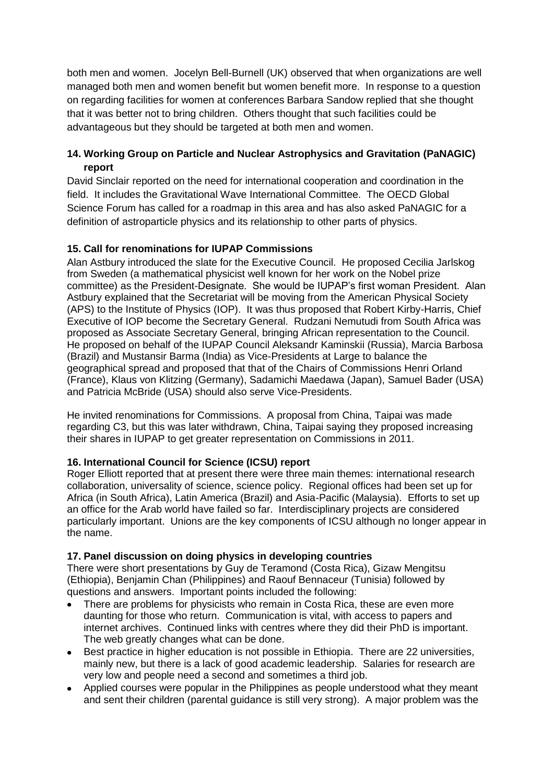both men and women. Jocelyn Bell-Burnell (UK) observed that when organizations are well managed both men and women benefit but women benefit more. In response to a question on regarding facilities for women at conferences Barbara Sandow replied that she thought that it was better not to bring children. Others thought that such facilities could be advantageous but they should be targeted at both men and women.

# **14. Working Group on Particle and Nuclear Astrophysics and Gravitation (PaNAGIC) report**

David Sinclair reported on the need for international cooperation and coordination in the field. It includes the Gravitational Wave International Committee. The OECD Global Science Forum has called for a roadmap in this area and has also asked PaNAGIC for a definition of astroparticle physics and its relationship to other parts of physics.

# **15. Call for renominations for IUPAP Commissions**

Alan Astbury introduced the slate for the Executive Council. He proposed Cecilia Jarlskog from Sweden (a mathematical physicist well known for her work on the Nobel prize committee) as the President-Designate. She would be IUPAP's first woman President. Alan Astbury explained that the Secretariat will be moving from the American Physical Society (APS) to the Institute of Physics (IOP). It was thus proposed that Robert Kirby-Harris, Chief Executive of IOP become the Secretary General. Rudzani Nemutudi from South Africa was proposed as Associate Secretary General, bringing African representation to the Council. He proposed on behalf of the IUPAP Council Aleksandr Kaminskii (Russia), Marcia Barbosa (Brazil) and Mustansir Barma (India) as Vice-Presidents at Large to balance the geographical spread and proposed that that of the Chairs of Commissions Henri Orland (France), Klaus von Klitzing (Germany), Sadamichi Maedawa (Japan), Samuel Bader (USA) and Patricia McBride (USA) should also serve Vice-Presidents.

He invited renominations for Commissions. A proposal from China, Taipai was made regarding C3, but this was later withdrawn, China, Taipai saying they proposed increasing their shares in IUPAP to get greater representation on Commissions in 2011.

# **16. International Council for Science (ICSU) report**

Roger Elliott reported that at present there were three main themes: international research collaboration, universality of science, science policy. Regional offices had been set up for Africa (in South Africa), Latin America (Brazil) and Asia-Pacific (Malaysia). Efforts to set up an office for the Arab world have failed so far. Interdisciplinary projects are considered particularly important. Unions are the key components of ICSU although no longer appear in the name.

#### **17. Panel discussion on doing physics in developing countries**

There were short presentations by Guy de Teramond (Costa Rica), Gizaw Mengitsu (Ethiopia), Benjamin Chan (Philippines) and Raouf Bennaceur (Tunisia) followed by questions and answers. Important points included the following:

- There are problems for physicists who remain in Costa Rica, these are even more daunting for those who return. Communication is vital, with access to papers and internet archives. Continued links with centres where they did their PhD is important. The web greatly changes what can be done.
- Best practice in higher education is not possible in Ethiopia. There are 22 universities,  $\bullet$ mainly new, but there is a lack of good academic leadership. Salaries for research are very low and people need a second and sometimes a third job.
- Applied courses were popular in the Philippines as people understood what they meant and sent their children (parental guidance is still very strong). A major problem was the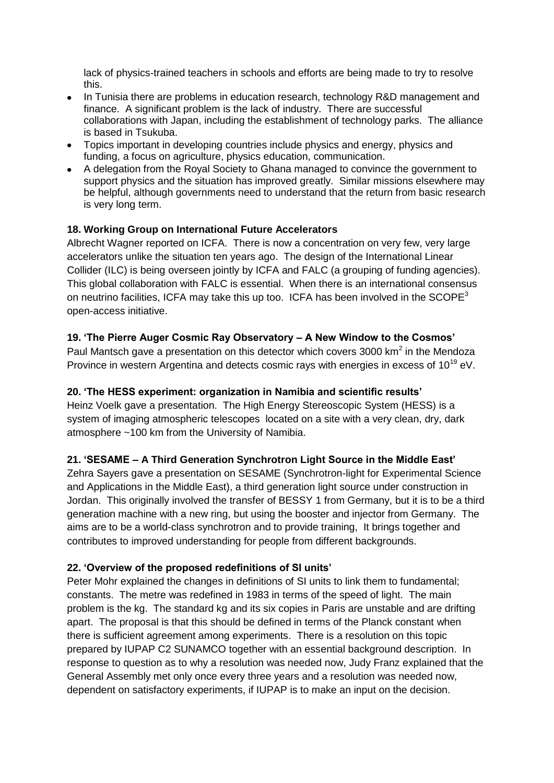lack of physics-trained teachers in schools and efforts are being made to try to resolve this.

- In Tunisia there are problems in education research, technology R&D management and finance. A significant problem is the lack of industry. There are successful collaborations with Japan, including the establishment of technology parks. The alliance is based in Tsukuba.
- Topics important in developing countries include physics and energy, physics and funding, a focus on agriculture, physics education, communication.
- A delegation from the Royal Society to Ghana managed to convince the government to support physics and the situation has improved greatly. Similar missions elsewhere may be helpful, although governments need to understand that the return from basic research is very long term.

#### **18. Working Group on International Future Accelerators**

Albrecht Wagner reported on ICFA. There is now a concentration on very few, very large accelerators unlike the situation ten years ago. The design of the International Linear Collider (ILC) is being overseen jointly by ICFA and FALC (a grouping of funding agencies). This global collaboration with FALC is essential. When there is an international consensus on neutrino facilities, ICFA may take this up too. ICFA has been involved in the SCOPE<sup>3</sup> open-access initiative.

# **19. 'The Pierre Auger Cosmic Ray Observatory – A New Window to the Cosmos'**

Paul Mantsch gave a presentation on this detector which covers 3000  $km^2$  in the Mendoza Province in western Argentina and detects cosmic rays with energies in excess of  $10^{19}$  eV.

#### **20. 'The HESS experiment: organization in Namibia and scientific results'**

Heinz Voelk gave a presentation. The High Energy Stereoscopic System (HESS) is a system of imaging atmospheric telescopes located on a site with a very clean, dry, dark atmosphere ~100 km from the University of Namibia.

# **21. 'SESAME – A Third Generation Synchrotron Light Source in the Middle East'**

Zehra Sayers gave a presentation on SESAME (Synchrotron-light for Experimental Science and Applications in the Middle East), a third generation light source under construction in Jordan. This originally involved the transfer of BESSY 1 from Germany, but it is to be a third generation machine with a new ring, but using the booster and injector from Germany. The aims are to be a world-class synchrotron and to provide training, It brings together and contributes to improved understanding for people from different backgrounds.

#### **22. 'Overview of the proposed redefinitions of SI units'**

Peter Mohr explained the changes in definitions of SI units to link them to fundamental; constants. The metre was redefined in 1983 in terms of the speed of light. The main problem is the kg. The standard kg and its six copies in Paris are unstable and are drifting apart. The proposal is that this should be defined in terms of the Planck constant when there is sufficient agreement among experiments. There is a resolution on this topic prepared by IUPAP C2 SUNAMCO together with an essential background description. In response to question as to why a resolution was needed now, Judy Franz explained that the General Assembly met only once every three years and a resolution was needed now, dependent on satisfactory experiments, if IUPAP is to make an input on the decision.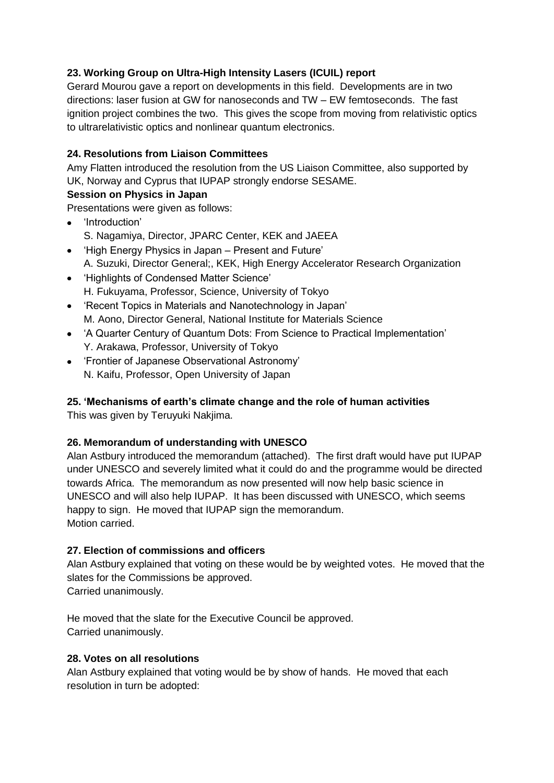# **23. Working Group on Ultra-High Intensity Lasers (ICUIL) report**

Gerard Mourou gave a report on developments in this field. Developments are in two directions: laser fusion at GW for nanoseconds and TW – EW femtoseconds. The fast ignition project combines the two. This gives the scope from moving from relativistic optics to ultrarelativistic optics and nonlinear quantum electronics.

# **24. Resolutions from Liaison Committees**

Amy Flatten introduced the resolution from the US Liaison Committee, also supported by UK, Norway and Cyprus that IUPAP strongly endorse SESAME.

# **Session on Physics in Japan**

Presentations were given as follows:

- 'Introduction' S. Nagamiya, Director, JPARC Center, KEK and JAEEA
- 'High Energy Physics in Japan Present and Future' A. Suzuki, Director General;, KEK, High Energy Accelerator Research Organization
- 'Highlights of Condensed Matter Science' H. Fukuyama, Professor, Science, University of Tokyo
- 'Recent Topics in Materials and Nanotechnology in Japan' M. Aono, Director General, National Institute for Materials Science
- 'A Quarter Century of Quantum Dots: From Science to Practical Implementation' Y. Arakawa, Professor, University of Tokyo
- 'Frontier of Japanese Observational Astronomy' N. Kaifu, Professor, Open University of Japan

# **25. 'Mechanisms of earth's climate change and the role of human activities**

This was given by Teruyuki Nakjima.

# **26. Memorandum of understanding with UNESCO**

Alan Astbury introduced the memorandum (attached). The first draft would have put IUPAP under UNESCO and severely limited what it could do and the programme would be directed towards Africa. The memorandum as now presented will now help basic science in UNESCO and will also help IUPAP. It has been discussed with UNESCO, which seems happy to sign. He moved that IUPAP sign the memorandum. Motion carried.

# **27. Election of commissions and officers**

Alan Astbury explained that voting on these would be by weighted votes. He moved that the slates for the Commissions be approved. Carried unanimously.

He moved that the slate for the Executive Council be approved. Carried unanimously.

# **28. Votes on all resolutions**

Alan Astbury explained that voting would be by show of hands. He moved that each resolution in turn be adopted: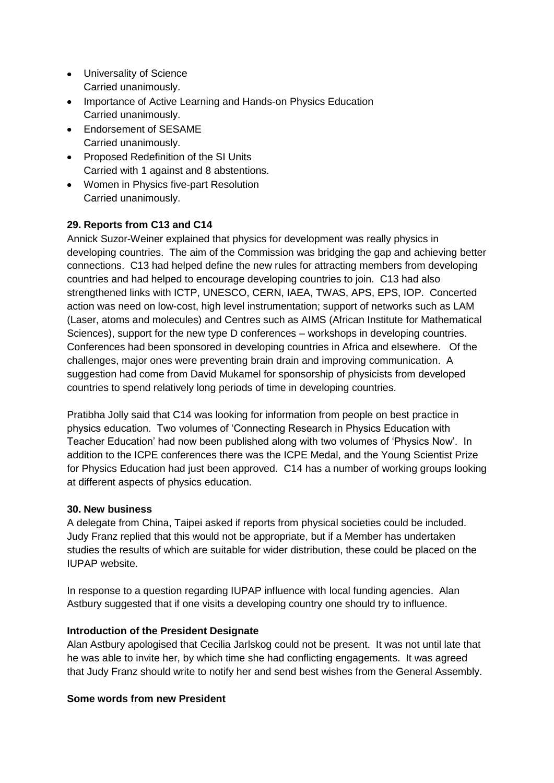- Universality of Science Carried unanimously.
- Importance of Active Learning and Hands-on Physics Education Carried unanimously.
- Fndorsement of SESAME Carried unanimously.
- Proposed Redefinition of the SI Units Carried with 1 against and 8 abstentions.
- Women in Physics five-part Resolution Carried unanimously.

# **29. Reports from C13 and C14**

Annick Suzor-Weiner explained that physics for development was really physics in developing countries. The aim of the Commission was bridging the gap and achieving better connections. C13 had helped define the new rules for attracting members from developing countries and had helped to encourage developing countries to join. C13 had also strengthened links with ICTP, UNESCO, CERN, IAEA, TWAS, APS, EPS, IOP. Concerted action was need on low-cost, high level instrumentation; support of networks such as LAM (Laser, atoms and molecules) and Centres such as AIMS (African Institute for Mathematical Sciences), support for the new type D conferences – workshops in developing countries. Conferences had been sponsored in developing countries in Africa and elsewhere. Of the challenges, major ones were preventing brain drain and improving communication. A suggestion had come from David Mukamel for sponsorship of physicists from developed countries to spend relatively long periods of time in developing countries.

Pratibha Jolly said that C14 was looking for information from people on best practice in physics education. Two volumes of 'Connecting Research in Physics Education with Teacher Education' had now been published along with two volumes of 'Physics Now'. In addition to the ICPE conferences there was the ICPE Medal, and the Young Scientist Prize for Physics Education had just been approved. C14 has a number of working groups looking at different aspects of physics education.

# **30. New business**

A delegate from China, Taipei asked if reports from physical societies could be included. Judy Franz replied that this would not be appropriate, but if a Member has undertaken studies the results of which are suitable for wider distribution, these could be placed on the IUPAP website.

In response to a question regarding IUPAP influence with local funding agencies. Alan Astbury suggested that if one visits a developing country one should try to influence.

# **Introduction of the President Designate**

Alan Astbury apologised that Cecilia Jarlskog could not be present. It was not until late that he was able to invite her, by which time she had conflicting engagements. It was agreed that Judy Franz should write to notify her and send best wishes from the General Assembly.

#### **Some words from new President**